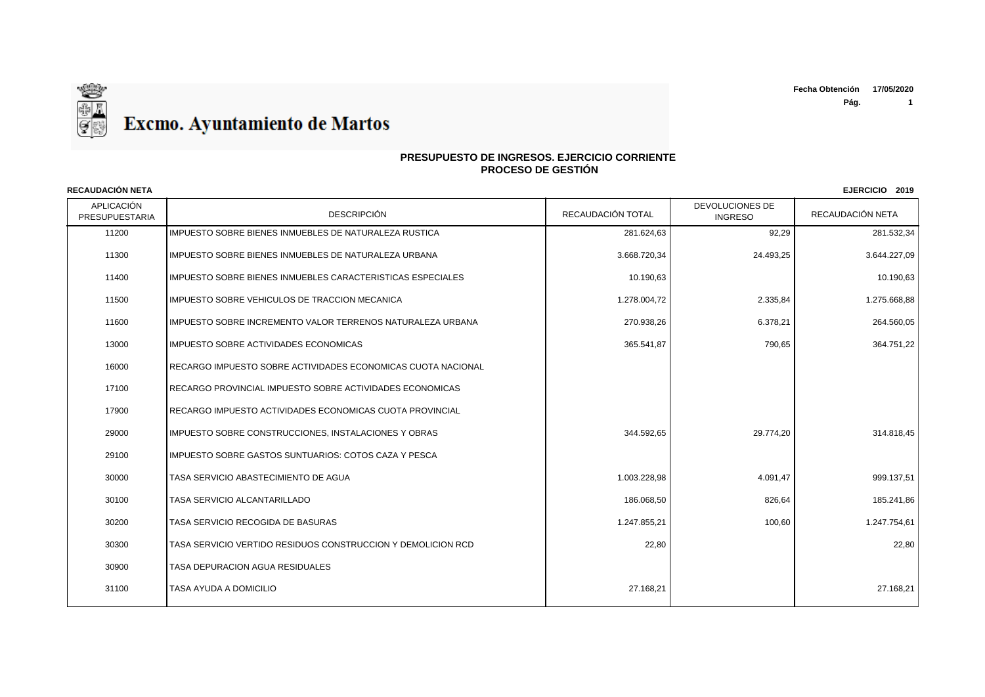

### **PRESUPUESTO DE INGRESOS. EJERCICIO CORRIENTE PROCESO DE GESTIÓN**

APLICACIÓN PRESUPUESTARIA | DESCRIPCIÓN DESCRIPCIÓN | RECAUDACIÓN TOTAL | TINGRESO DEVOLUCIONES DE RECAUDACIÓN NETA **RECAUDACIÓN NETA EJERCICIO 2019** 11200 IMPUESTO SOBRE BIENES INMUEBLES DE NATURALEZA RUSTICA 281.624,63 281.624,63 281.624,63 92.29 281.532.34 11300 IMPUESTO SOBRE BIENES INMUEBLES DE NATURALEZA URBANA 3.668.720.34 3.668.720.34 I 24.493.25 24.493.25 24.493.25 24.493.25 24.493.25 24.493.25 24.493.25 24.493.25 24.493.25 24.493.25 24.493.25 24.493.25 24.493.25 24.49 11400 IMPUESTO SOBRE BIENES INMUEBLES CARACTERISTICAS ESPECIALES 10.190, 10.190,63 10.190,63 10.190,63 10.190,63 10.190,63 10.190,63 10.190,63 10.190,63 10.190,63 10.190,63 10.190,63 10.190,63 10.190,63 10.190,63 10.190,63 11500 |IMPUESTO SOBRE VEHICULOS DE TRACCION MECANICA 1.278.000 | 1.278.004.72 | 2.335,84 | 2.335,84 | 1.275.668,88 11600 IMPUESTO SOBRE INCREMENTO VALOR TERRENOS NATURALEZA URBANA 270.938,26 6.378,21 264.560,05 13000 IMPUESTO SOBRE ACTIVIDADES ECONOMICAS 365.541,87 790,65 364.751,22 16000 RECARGO IMPUESTO SOBRE ACTIVIDADES ECONOMICAS CUOTA NACIONAL 17100 RECARGO PROVINCIAL IMPUESTO SOBRE ACTIVIDADES ECONOMICAS 17900 RECARGO IMPUESTO ACTIVIDADES ECONOMICAS CUOTA PROVINCIAL 29000 IMPUESTO SOBRE CONSTRUCCIONES, INSTALACIONES Y OBRAS 344.592,65 29.774,20 314.818,45 29100 | IMPUESTO SOBRE GASTOS SUNTUARIOS: COTOS CAZA Y PESCA 30000 TASA SERVICIO ABASTECIMIENTO DE AGUA 1.003.228,98 4.091,47 999.137,51 30100 TASA SERVICIO ALCANTARILLADO 186.068,50 826,64 185.241,86 30200 TASA SERVICIO RECOGIDA DE BASURAS 1.247.855,21 100,60 1.247.754,61 30300 TASA SERVICIO VERTIDO RESIDUOS CONSTRUCCION Y DEMOLICION RCD 22,80 22,80 30900 TASA DEPURACION AGUA RESIDUALES 31100 TASA AYUDA A DOMICILIO 27.168,21 27.168,21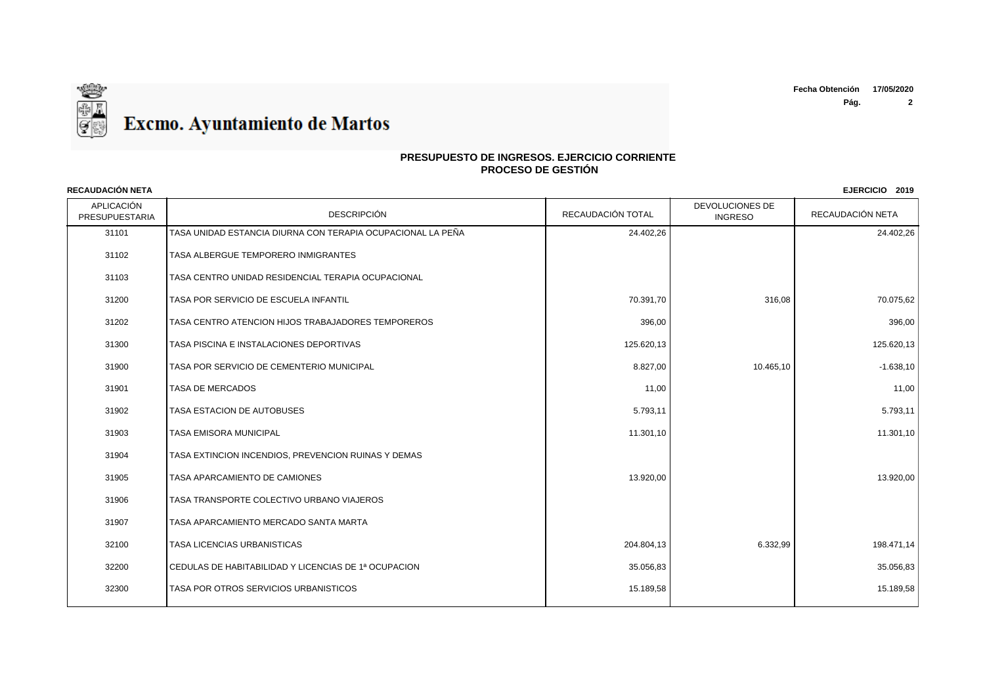**Fecha Obtención 17/05/2020**

**Pág. 2**



## **PRESUPUESTO DE INGRESOS. EJERCICIO CORRIENTE PROCESO DE GESTIÓN**

APLICACIÓN PRESUPUESTARIA | DESCRIPCIÓN DESCRIPCIÓN | RECAUDACIÓN TOTAL | TINGRESO DEVOLUCIONES DE RECAUDACIÓN NETA **RECAUDACIÓN NETA EJERCICIO 2019** TASA UNIDAD ESTANCIA DIURNA CON TERAPIA OCUPACIONAL LA PEÑA 24.402,26 24.402,26 TASA ALBERGUE TEMPORERO INMIGRANTES TASA CENTRO UNIDAD RESIDENCIAL TERAPIA OCUPACIONAL 31200 TASA POR SERVICIO DE ESCUELA INFANTIL AND RESERVICIO DE ANTIFICIO DE ESCUELA INFANTIL AND RESERVICIO DE ESCUELA INFANTIL AND RESERVICIO DE ESCUELA INFANTIL AND RESERVICIO DE ESCUELA INFANTIL AND RESERVICIO DE ESCUELA TASA CENTRO ATENCION HIJOS TRABAJADORES TEMPOREROS 396,00 396,00 TASA PISCINA E INSTALACIONES DEPORTIVAS 125.620,13 125.620,13 31900 TASA POR SERVICIO DE CEMENTERIO MUNICIPAL **A Executiva CE A Executed A Executave CE A Executed A Executiva CE**  TASA DE MERCADOS 11,00 11,00 TASA ESTACION DE AUTOBUSES 5.793,11 5.793,11 TASA EMISORA MUNICIPAL 11.301,10 11.301,10 TASA EXTINCION INCENDIOS, PREVENCION RUINAS Y DEMAS TASA APARCAMIENTO DE CAMIONES 13.920,00 13.920,00 TASA TRANSPORTE COLECTIVO URBANO VIAJEROS TASA APARCAMIENTO MERCADO SANTA MARTA TASA LICENCIAS URBANISTICAS 204.804,13 6.332,99 198.471,14 CEDULAS DE HABITABILIDAD Y LICENCIAS DE 1ª OCUPACION 35.056,83 35.056,83 32300 TASA POR OTROS SERVICIOS URBANISTICOS AND SOLUTION DESCRIPTION OF THE RESERVICIOS OF THE RESERVICIOS OF THE RESERVICIOS OF THE RESERVICIOS OF THE RESERVICIOS OF THE RESERVICIOS OF THE RESERVICIOS OF THE RESERVICIOS O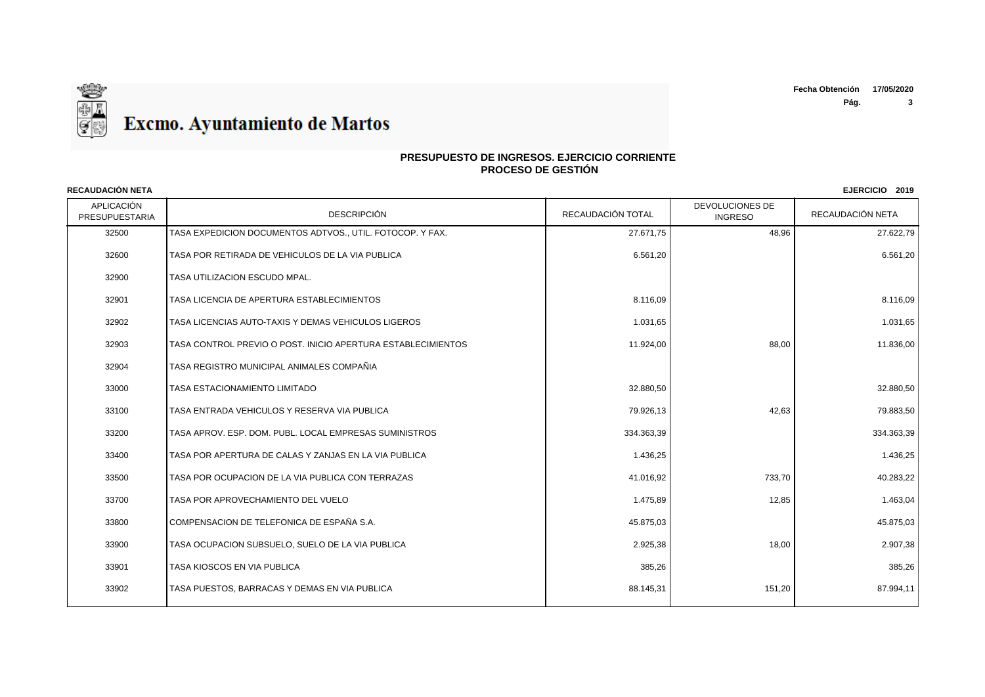

### **PRESUPUESTO DE INGRESOS. EJERCICIO CORRIENTE PROCESO DE GESTIÓN**

APLICACIÓN PRESUPUESTARIA | DESCRIPCIÓN DESCRIPCIÓN | RECAUDACIÓN TOTAL | TINGRESO DEVOLUCIONES DE RECAUDACIÓN NETA **RECAUDACIÓN NETA EJERCICIO 2019** 32500 TASA EXPEDICION DOCUMENTOS ADTVOS., UTIL. FOTOCOP. Y FAX. 27.67.27.9 27.671.75 27.671.75 48.96 48.96 27.622.79 32600 TASA POR RETIRADA DE VEHICULOS DE LA VIA PUBLICA GALICA DE LA SUBLICA DE LA SUBLICA DE LA SUBLICA DE LA TASA UTILIZACION ESCUDO MPAL. TASA LICENCIA DE APERTURA ESTABLECIMIENTOS 8.116,09 8.116,09 TASA LICENCIAS AUTO-TAXIS Y DEMAS VEHICULOS LIGEROS 1.031,65 1.031,65 TASA CONTROL PREVIO O POST. INICIO APERTURA ESTABLECIMIENTOS 11.924,00 88,00 11.836,00 TASA REGISTRO MUNICIPAL ANIMALES COMPAÑIA TASA ESTACIONAMIENTO LIMITADO 32.880,50 32.880,50 TASA ENTRADA VEHICULOS Y RESERVA VIA PUBLICA 79.926,13 42,63 79.883,50 33200 TASA APROV. ESP. DOM. PUBL. LOCAL EMPRESAS SUMINISTROS 334.363.39 334.363.39 334.363,39 334.363,39 334.363,39 TASA POR APERTURA DE CALAS Y ZANJAS EN LA VIA PUBLICA 1.436,25 1.436,25 TASA POR OCUPACION DE LA VIA PUBLICA CON TERRAZAS 41.016,92 733,70 40.283,22 TASA POR APROVECHAMIENTO DEL VUELO 1.475,89 12,85 1.463,04 COMPENSACION DE TELEFONICA DE ESPAÑA S.A. 45.875,03 45.875,03 TASA OCUPACION SUBSUELO, SUELO DE LA VIA PUBLICA 2.925,38 18,00 2.907,38 TASA KIOSCOS EN VIA PUBLICA 385,26 385,26 TASA PUESTOS, BARRACAS Y DEMAS EN VIA PUBLICA 88.145,31 151,20 87.994,11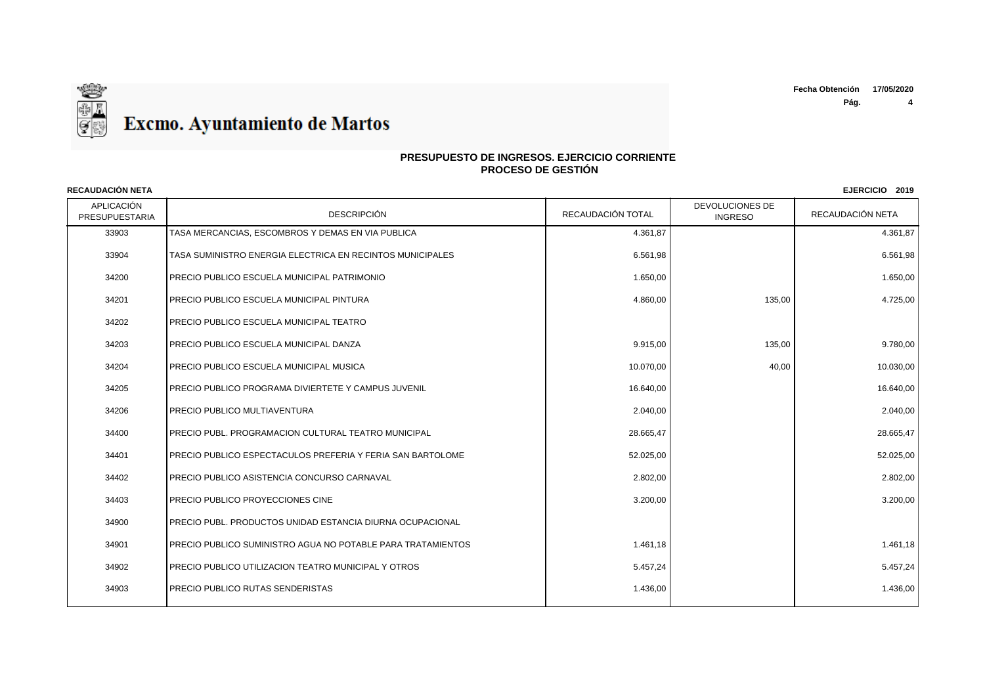**Pág. 4**



### **PRESUPUESTO DE INGRESOS. EJERCICIO CORRIENTE PROCESO DE GESTIÓN**

APLICACIÓN PRESUPUESTARIA | DESCRIPCIÓN DESCRIPCIÓN | RECAUDACIÓN TOTAL | TINGRESO DEVOLUCIONES DE RECAUDACIÓN NETA **RECAUDACIÓN NETA EJERCICIO 2019** 33903 TASA MERCANCIAS, ESCOMBROS Y DEMAS EN VIA PUBLICA 4.361,87 4.361,87 33904 TASA SUMINISTRO ENERGIA ELECTRICA EN RECINTOS MUNICIPALES 6.561,98 6.561,98 34200 PRECIO PUBLICO ESCUELA MUNICIPAL PATRIMONIO 1.650,00 1.650,00 34201 PRECIO PUBLICO ESCUELA MUNICIPAL PINTURA 4.860,00 ASSAULT AND 4.725,00 ASSAULT AND 4.725,00 ASSAULT AND 4.725,00 ASSAULT AND 4.725,00 ASSAULT AND 4.725,00 ASSAULT AND 4.725,00 ASSAULT AND 4.725,00 ASSAULT AND 4.725,0 34202 PRECIO PUBLICO ESCUELA MUNICIPAL TEATRO 34203 PRECIO PUBLICO ESCUELA MUNICIPAL DANZA PRECIO PUBLICO ESCUELA MUNICIPAL DANZA PRECIO PUBLICO ESCUELA MUNICIPAL DANZA 34204 PRECIO PUBLICO ESCUELA MUNICIPAL MUSICA 10.070 AU ALIAN 10.070,00 **10.070,00** 40,00 **40,00** 40,00 **10.030,00** 34205 PRECIO PUBLICO PROGRAMA DIVIERTETE Y CAMPUS JUVENIL 16.640 16.640,00 16.640,00 16.640,00 16.640,00 16.640,00 16.640,00 16.640,00 16.640,00 16.640,00 16.640,00 16.640,00 16.640,00 16.640,00 16.640,00 16.640,00 16.640, 34206 PRECIO PUBLICO MULTIAVENTURA 2.040,00 2.040,00 34400 PRECIO PUBL. PROGRAMACION CULTURAL TEATRO MUNICIPAL 23.000 28.665.47 28.665.47 34401 PRECIO PUBLICO ESPECTACULOS PREFERIA Y FERIA SAN BARTOLOME 52.025,00 52.025,00 53.025,00 53.025,00 52.025,00 34402 PRECIO PUBLICO ASISTENCIA CONCURSO CARNAVAL 2.802,00 2.802,00 34403 PRECIO PUBLICO PROYECCIONES CINE 3.200,00 3.200,00 34900 PRECIO PUBL. PRODUCTOS UNIDAD ESTANCIA DIURNA OCUPACIONAL 34901 PRECIO PUBLICO SUMINISTRO AGUA NO POTABLE PARA TRATAMIENTOS 1.461,18 1.461,18 1.461,18 1.461,18 1.461,18 34902 PRECIO PUBLICO UTILIZACION TEATRO MUNICIPAL Y OTROS 5.457,24 5.457,24 34903 PRECIO PUBLICO RUTAS SENDERISTAS 1.436,00 1.436,00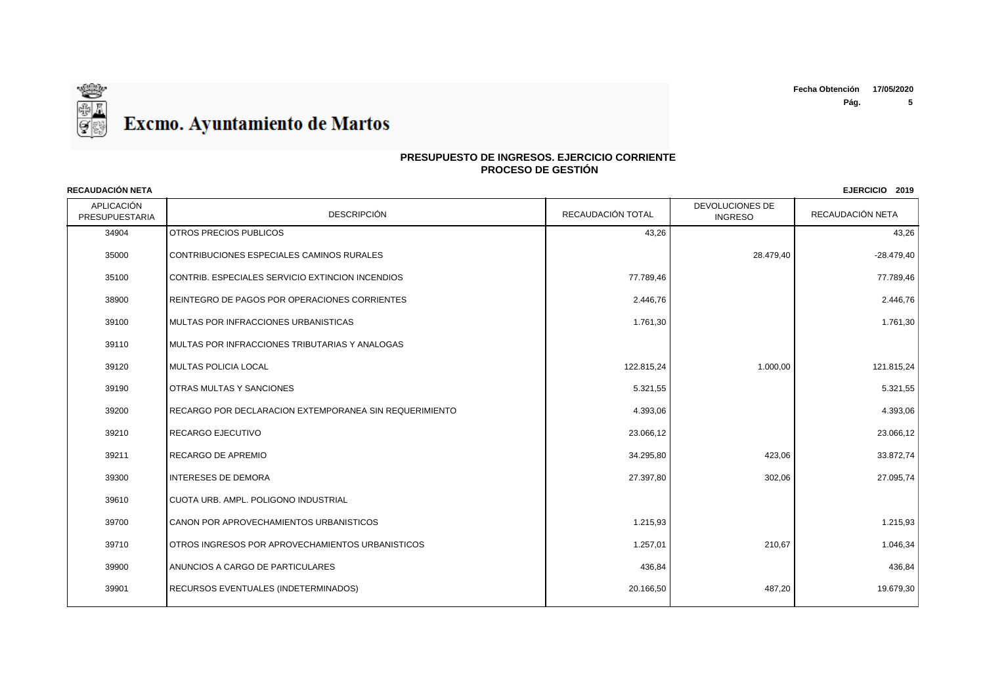

### **PRESUPUESTO DE INGRESOS. EJERCICIO CORRIENTE PROCESO DE GESTIÓN**

APLICACIÓN PRESUPUESTARIA | DESCRIPCIÓN DESCRIPCIÓN | RECAUDACIÓN TOTAL | TINGRESO DEVOLUCIONES DE RECAUDACIÓN NETA **RECAUDACIÓN NETA EJERCICIO 2019** 34904 OTROS PRECIOS PUBLICOS 43,26 43,26 35000 CONTRIBUCIONES ESPECIALES CAMINOS RURALES CONTRIBUCIONES AND SERVERSE SERVERSE SERVERSE SERVERSE SERVERSE SON 35100 CONTRIB. ESPECIALES SERVICIO EXTINCION INCENDIOS 77.789,46 77.789,46 38900 REINTEGRO DE PAGOS POR OPERACIONES CORRIENTES 2.446,76 2.446,76 39100 MULTAS POR INFRACCIONES URBANISTICAS NARRETICAL SERVICES ON LA CONSUMING A LA CONSUMING A LA CONSUMING A 39110 MULTAS POR INFRACCIONES TRIBUTARIAS Y ANALOGAS 39120 MULTAS POLICIA LOCAL 122.815,24 1.000,00 121.815,24 39190 OTRAS MULTAS Y SANCIONES 5.321,55 5.321,55 39200 RECARGO POR DECLARACION EXTEMPORANEA SIN REQUERIMIENTO 4.393,06 4.393,06 39210 |RECARGO EJECUTIVO 23.066,12 | 23.066,12 | 39211 RECARGO DE APREMIO 34.295,80 423,06 33.872,74 39300 |INTERESES DE DEMORA 27.397,80 | 27.095,74 39610 CUOTA URB. AMPL. POLIGONO INDUSTRIAL 39700 CANON POR APROVECHAMIENTOS URBANISTICOS 1.215,93 1.215,93 39710 OTROS INGRESOS POR APROVECHAMIENTOS URBANISTICOS NERRETAL SERIES NEGLES AND STRUGHT AND RESERVE THE STRUGH 39900 ANUNCIOS A CARGO DE PARTICULARES 436,84 436,84 39901 RECURSOS EVENTUALES (INDETERMINADOS) 20.166,50 19.679,30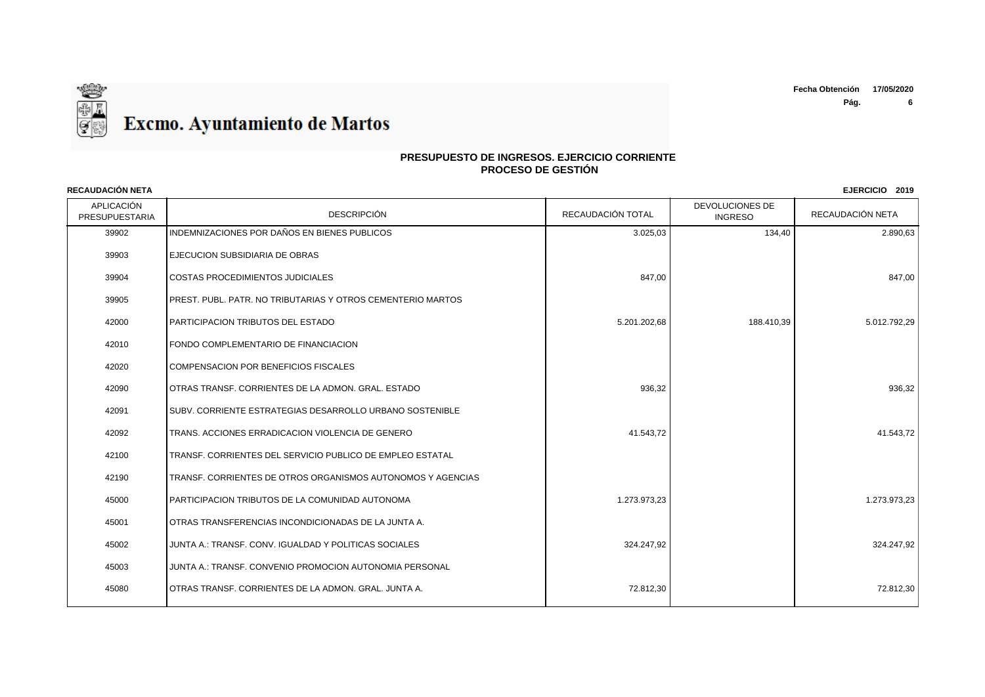

| <b>RECAUDACIÓN NETA</b>      |                                                             |                   |                                   | EJERCICIO 2019   |
|------------------------------|-------------------------------------------------------------|-------------------|-----------------------------------|------------------|
| APLICACIÓN<br>PRESUPUESTARIA | <b>DESCRIPCIÓN</b>                                          | RECAUDACIÓN TOTAL | DEVOLUCIONES DE<br><b>INGRESO</b> | RECAUDACIÓN NETA |
| 39902                        | INDEMNIZACIONES POR DAÑOS EN BIENES PUBLICOS                | 3.025,03          | 134,40                            | 2.890,63         |
| 39903                        | EJECUCION SUBSIDIARIA DE OBRAS                              |                   |                                   |                  |
| 39904                        | COSTAS PROCEDIMIENTOS JUDICIALES                            | 847,00            |                                   | 847,00           |
| 39905                        | PREST. PUBL. PATR. NO TRIBUTARIAS Y OTROS CEMENTERIO MARTOS |                   |                                   |                  |
| 42000                        | PARTICIPACION TRIBUTOS DEL ESTADO                           | 5.201.202,68      | 188.410,39                        | 5.012.792,29     |
| 42010                        | FONDO COMPLEMENTARIO DE FINANCIACION                        |                   |                                   |                  |
| 42020                        | COMPENSACION POR BENEFICIOS FISCALES                        |                   |                                   |                  |
| 42090                        | OTRAS TRANSF. CORRIENTES DE LA ADMON. GRAL. ESTADO          | 936,32            |                                   | 936,32           |
| 42091                        | SUBV. CORRIENTE ESTRATEGIAS DESARROLLO URBANO SOSTENIBLE    |                   |                                   |                  |
| 42092                        | TRANS. ACCIONES ERRADICACION VIOLENCIA DE GENERO            | 41.543,72         |                                   | 41.543,72        |
| 42100                        | TRANSF. CORRIENTES DEL SERVICIO PUBLICO DE EMPLEO ESTATAL   |                   |                                   |                  |
| 42190                        | TRANSF. CORRIENTES DE OTROS ORGANISMOS AUTONOMOS Y AGENCIAS |                   |                                   |                  |
| 45000                        | PARTICIPACION TRIBUTOS DE LA COMUNIDAD AUTONOMA             | 1.273.973,23      |                                   | 1.273.973,23     |
| 45001                        | OTRAS TRANSFERENCIAS INCONDICIONADAS DE LA JUNTA A.         |                   |                                   |                  |
| 45002                        | JUNTA A.: TRANSF, CONV. IGUALDAD Y POLITICAS SOCIALES       | 324.247.92        |                                   | 324.247.92       |
| 45003                        | JUNTA A.: TRANSF. CONVENIO PROMOCION AUTONOMIA PERSONAL     |                   |                                   |                  |
| 45080                        | OTRAS TRANSF. CORRIENTES DE LA ADMON. GRAL. JUNTA A.        | 72.812,30         |                                   | 72.812,30        |
|                              |                                                             |                   |                                   |                  |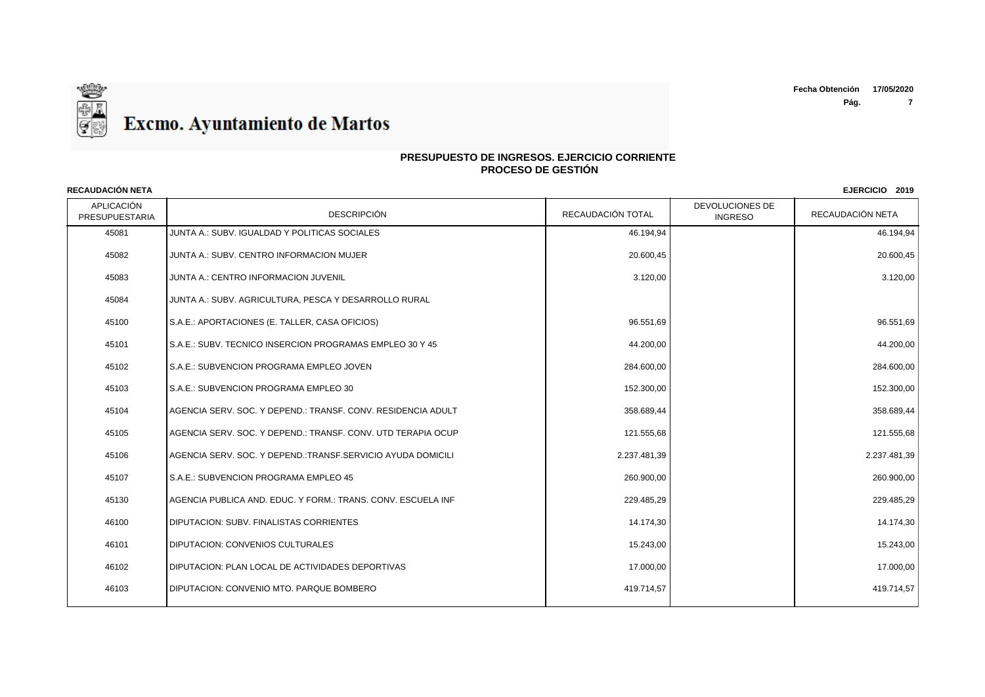

### **PRESUPUESTO DE INGRESOS. EJERCICIO CORRIENTE PROCESO DE GESTIÓN**

APLICACIÓN PRESUPUESTARIA | DESCRIPCIÓN DESCRIPCIÓN | RECAUDACIÓN TOTAL | TINGRESO DEVOLUCIONES DE RECAUDACIÓN NETA **RECAUDACIÓN NETA EJERCICIO 2019** 45081 JUNTA A.: SUBV. IGUALDAD Y POLITICAS SOCIALES 46.194,94 46.194,94 45082 JUNTA A.: SUBV. CENTRO INFORMACION MUJER 20.600,45 20.600,45 45083 JUNTA A.: CENTRO INFORMACION JUVENIL 3.120,00 3.120,00 45084 JUNTA A.: SUBV. AGRICULTURA, PESCA Y DESARROLLO RURAL 45100 S.A.E.: APORTACIONES (E. TALLER, CASA OFICIOS) 96.551,69 96.551,69 45101 S.A.E.: SUBV. TECNICO INSERCION PROGRAMAS EMPLEO 30 Y 45 44.200,00 44.200,00 45102 S.A.E.: SUBVENCION PROGRAMA EMPLEO JOVEN 284.600,00 284.600,00 45103 S.A.E.: SUBVENCION PROGRAMA EMPLEO 30 152.300,00 152.300,00 45104 AGENCIA SERV. SOC. Y DEPEND.: TRANSF. CONV. RESIDENCIA ADULT 358.689,44 358.689,44 45105 AGENCIA SERV. SOC. Y DEPEND.: TRANSF. CONV. UTD TERAPIA OCUP 121.555,68 121.555,68 121.555,68 121.555,68 121.555,68 121.555,68 121.555,68 121.555,68 121.555,68 121.555,68 121.555,68 121.555,68 121.555,68 121.555,68 1 45106 AGENCIA SERV. SOC. Y DEPEND.:TRANSF.SERVICIO AYUDA DOMICILI 2.237.481,39 2.237.481,39 45107 S.A.E.: SUBVENCION PROGRAMA EMPLEO 45 260.900,00 260.900,00 45130 AGENCIA PUBLICA AND. EDUC. Y FORM.: TRANS. CONV. ESCUELA INF 229.485,29 229.485,29 46100 DIPUTACION: SUBV. FINALISTAS CORRIENTES And the state of the state of the state of the state of the state of the state of the state of the state of the state of the state of the state of the state of the state of the er and the set of the set of the set of the set of the set of the set of the set of the set of the set of the set of the set of the set of the set of the set of the set of the set of the set of the set of the set of the se 46102 DIPUTACION: PLAN LOCAL DE ACTIVIDADES DEPORTIVAS 17.000,00 17.000,00 46103 DIPUTACION: CONVENIO MTO. PARQUE BOMBERO 419.714,57 419.714,57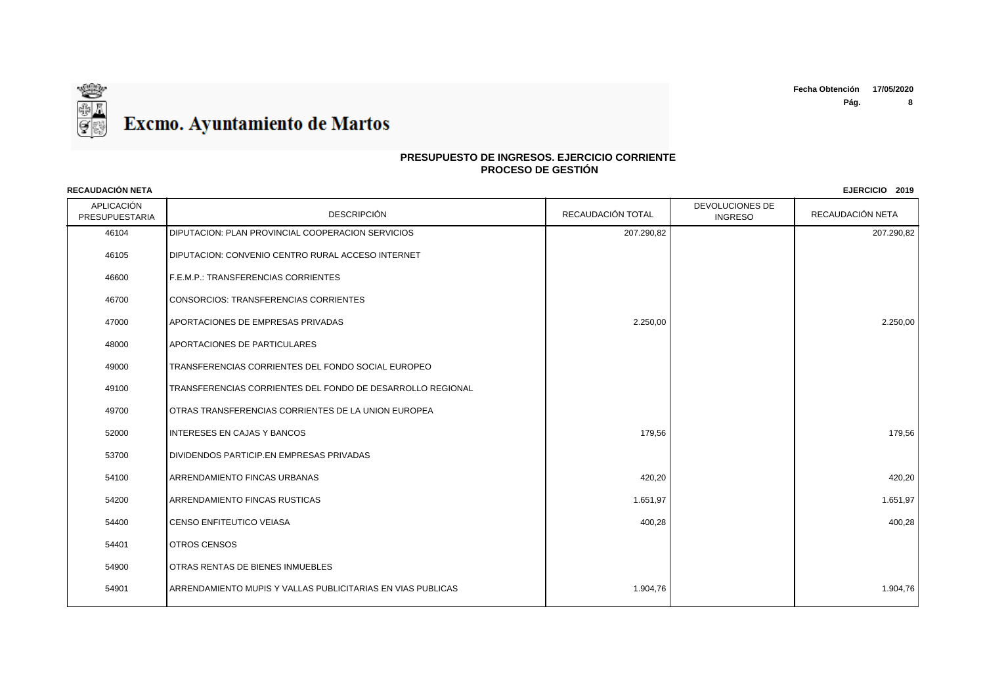

| RECAUDACIÓN NETA                    |                                                             |                   |                                   | EJERCICIO 2019   |
|-------------------------------------|-------------------------------------------------------------|-------------------|-----------------------------------|------------------|
| <b>APLICACIÓN</b><br>PRESUPUESTARIA | <b>DESCRIPCIÓN</b>                                          | RECAUDACIÓN TOTAL | DEVOLUCIONES DE<br><b>INGRESO</b> | RECAUDACIÓN NETA |
| 46104                               | DIPUTACION: PLAN PROVINCIAL COOPERACION SERVICIOS           | 207.290,82        |                                   | 207.290,82       |
| 46105                               | DIPUTACION: CONVENIO CENTRO RURAL ACCESO INTERNET           |                   |                                   |                  |
| 46600                               | F.E.M.P.: TRANSFERENCIAS CORRIENTES                         |                   |                                   |                  |
| 46700                               | <b>CONSORCIOS: TRANSFERENCIAS CORRIENTES</b>                |                   |                                   |                  |
| 47000                               | APORTACIONES DE EMPRESAS PRIVADAS                           | 2.250,00          |                                   | 2.250,00         |
| 48000                               | APORTACIONES DE PARTICULARES                                |                   |                                   |                  |
| 49000                               | TRANSFERENCIAS CORRIENTES DEL FONDO SOCIAL EUROPEO          |                   |                                   |                  |
| 49100                               | TRANSFERENCIAS CORRIENTES DEL FONDO DE DESARROLLO REGIONAL  |                   |                                   |                  |
| 49700                               | OTRAS TRANSFERENCIAS CORRIENTES DE LA UNION EUROPEA         |                   |                                   |                  |
| 52000                               | <b>INTERESES EN CAJAS Y BANCOS</b>                          | 179,56            |                                   | 179,56           |
| 53700                               | <b>DIVIDENDOS PARTICIP.EN EMPRESAS PRIVADAS</b>             |                   |                                   |                  |
| 54100                               | <b>ARRENDAMIENTO FINCAS URBANAS</b>                         | 420,20            |                                   | 420,20           |
| 54200                               | <b>ARRENDAMIENTO FINCAS RUSTICAS</b>                        | 1.651,97          |                                   | 1.651,97         |
| 54400                               | CENSO ENFITEUTICO VEIASA                                    | 400,28            |                                   | 400,28           |
| 54401                               | <b>OTROS CENSOS</b>                                         |                   |                                   |                  |
| 54900                               | OTRAS RENTAS DE BIENES INMUEBLES                            |                   |                                   |                  |
| 54901                               | ARRENDAMIENTO MUPIS Y VALLAS PUBLICITARIAS EN VIAS PUBLICAS | 1.904,76          |                                   | 1.904,76         |
|                                     |                                                             |                   |                                   |                  |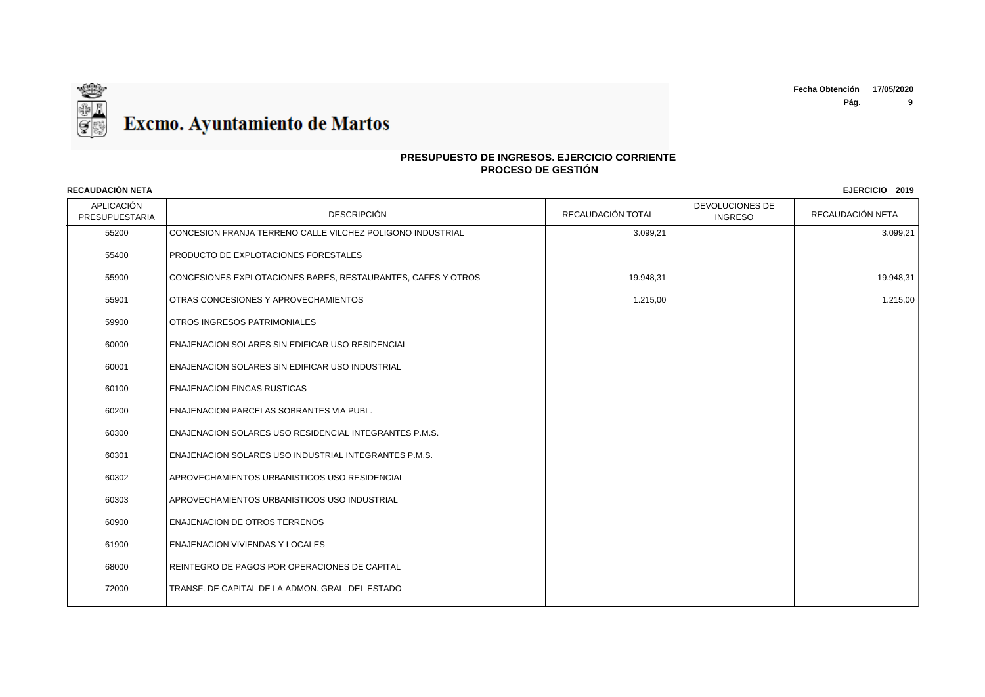

| <b>RECAUDACIÓN NETA</b>      |                                                              |                   |                                   | EJERCICIO 2019   |
|------------------------------|--------------------------------------------------------------|-------------------|-----------------------------------|------------------|
| APLICACIÓN<br>PRESUPUESTARIA | <b>DESCRIPCIÓN</b>                                           | RECAUDACIÓN TOTAL | DEVOLUCIONES DE<br><b>INGRESO</b> | RECAUDACIÓN NETA |
| 55200                        | CONCESION FRANJA TERRENO CALLE VILCHEZ POLIGONO INDUSTRIAL   | 3.099,21          |                                   | 3.099,21         |
| 55400                        | PRODUCTO DE EXPLOTACIONES FORESTALES                         |                   |                                   |                  |
| 55900                        | CONCESIONES EXPLOTACIONES BARES, RESTAURANTES, CAFES Y OTROS | 19.948,31         |                                   | 19.948,31        |
| 55901                        | OTRAS CONCESIONES Y APROVECHAMIENTOS                         | 1.215,00          |                                   | 1.215,00         |
| 59900                        | OTROS INGRESOS PATRIMONIALES                                 |                   |                                   |                  |
| 60000                        | ENAJENACION SOLARES SIN EDIFICAR USO RESIDENCIAL             |                   |                                   |                  |
| 60001                        | ENAJENACION SOLARES SIN EDIFICAR USO INDUSTRIAL              |                   |                                   |                  |
| 60100                        | <b>ENAJENACION FINCAS RUSTICAS</b>                           |                   |                                   |                  |
| 60200                        | ENAJENACION PARCELAS SOBRANTES VIA PUBL.                     |                   |                                   |                  |
| 60300                        | ENAJENACION SOLARES USO RESIDENCIAL INTEGRANTES P.M.S.       |                   |                                   |                  |
| 60301                        | ENAJENACION SOLARES USO INDUSTRIAL INTEGRANTES P.M.S.        |                   |                                   |                  |
| 60302                        | APROVECHAMIENTOS URBANISTICOS USO RESIDENCIAL                |                   |                                   |                  |
| 60303                        | APROVECHAMIENTOS URBANISTICOS USO INDUSTRIAL                 |                   |                                   |                  |
| 60900                        | <b>ENAJENACION DE OTROS TERRENOS</b>                         |                   |                                   |                  |
| 61900                        | <b>ENAJENACION VIVIENDAS Y LOCALES</b>                       |                   |                                   |                  |
| 68000                        | REINTEGRO DE PAGOS POR OPERACIONES DE CAPITAL                |                   |                                   |                  |
| 72000                        | TRANSF. DE CAPITAL DE LA ADMON. GRAL. DEL ESTADO             |                   |                                   |                  |
|                              |                                                              |                   |                                   |                  |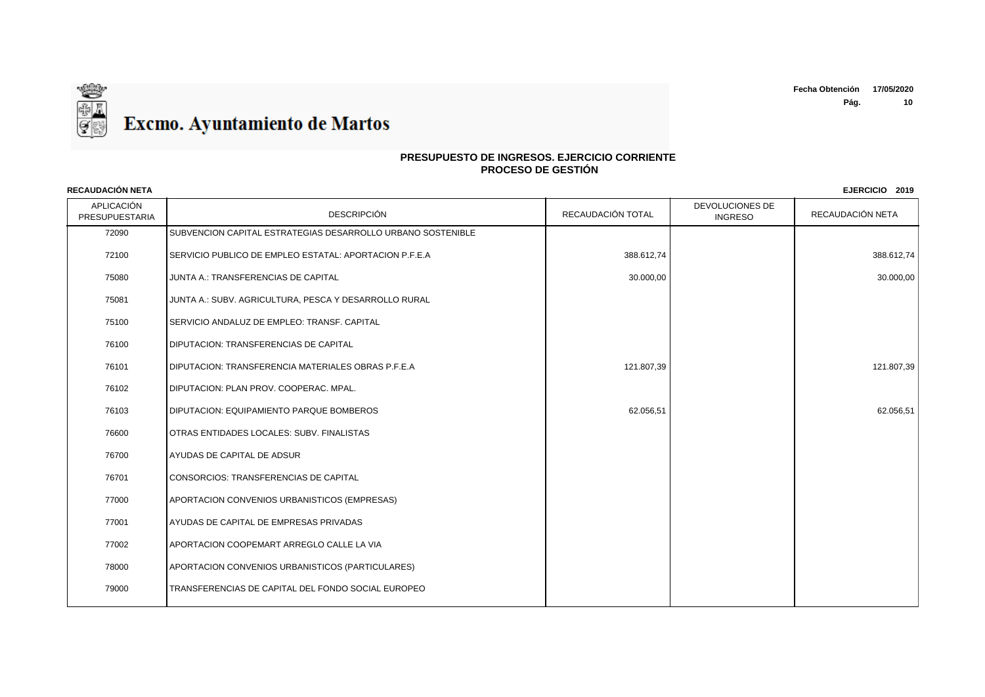

| <b>RECAUDACIÓN NETA</b>      |                                                             |                   |                                   | EJERCICIO 2019   |
|------------------------------|-------------------------------------------------------------|-------------------|-----------------------------------|------------------|
| APLICACIÓN<br>PRESUPUESTARIA | <b>DESCRIPCIÓN</b>                                          | RECAUDACIÓN TOTAL | DEVOLUCIONES DE<br><b>INGRESO</b> | RECAUDACIÓN NETA |
| 72090                        | SUBVENCION CAPITAL ESTRATEGIAS DESARROLLO URBANO SOSTENIBLE |                   |                                   |                  |
| 72100                        | SERVICIO PUBLICO DE EMPLEO ESTATAL: APORTACION P.F.E.A      | 388.612,74        |                                   | 388.612,74       |
| 75080                        | JUNTA A.: TRANSFERENCIAS DE CAPITAL                         | 30.000,00         |                                   | 30.000,00        |
| 75081                        | JUNTA A.: SUBV. AGRICULTURA, PESCA Y DESARROLLO RURAL       |                   |                                   |                  |
| 75100                        | SERVICIO ANDALUZ DE EMPLEO: TRANSF. CAPITAL                 |                   |                                   |                  |
| 76100                        | <b>DIPUTACION: TRANSFERENCIAS DE CAPITAL</b>                |                   |                                   |                  |
| 76101                        | DIPUTACION: TRANSFERENCIA MATERIALES OBRAS P.F.E.A          | 121.807,39        |                                   | 121.807,39       |
| 76102                        | DIPUTACION: PLAN PROV. COOPERAC. MPAL.                      |                   |                                   |                  |
| 76103                        | <b>DIPUTACION: EQUIPAMIENTO PARQUE BOMBEROS</b>             | 62.056,51         |                                   | 62.056,51        |
| 76600                        | OTRAS ENTIDADES LOCALES: SUBV. FINALISTAS                   |                   |                                   |                  |
| 76700                        | AYUDAS DE CAPITAL DE ADSUR                                  |                   |                                   |                  |
| 76701                        | CONSORCIOS: TRANSFERENCIAS DE CAPITAL                       |                   |                                   |                  |
| 77000                        | APORTACION CONVENIOS URBANISTICOS (EMPRESAS)                |                   |                                   |                  |
| 77001                        | AYUDAS DE CAPITAL DE EMPRESAS PRIVADAS                      |                   |                                   |                  |
| 77002                        | <b>I APORTACION COOPEMART ARREGLO CALLE LA VIA</b>          |                   |                                   |                  |
| 78000                        | APORTACION CONVENIOS URBANISTICOS (PARTICULARES)            |                   |                                   |                  |
| 79000                        | TRANSFERENCIAS DE CAPITAL DEL FONDO SOCIAL EUROPEO          |                   |                                   |                  |
|                              |                                                             |                   |                                   |                  |